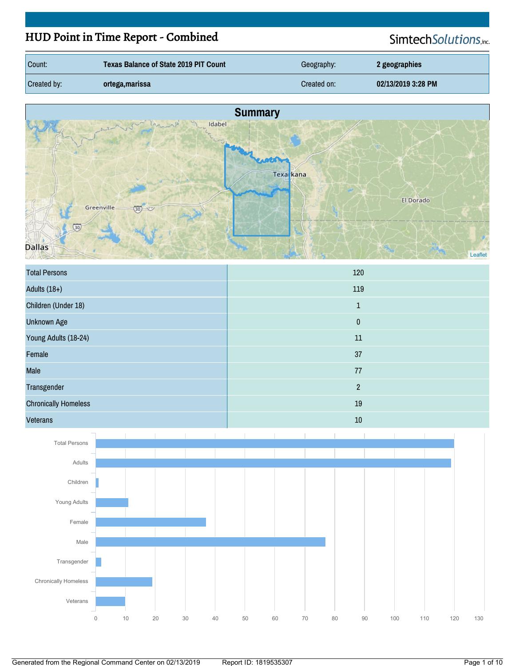# HUD Point in Time Report - Combined

SimtechSolutions,inc.

| Count:      | <b>Texas Balance of State 2019 PIT Count</b> | Geography:  | 2 geographies      |
|-------------|----------------------------------------------|-------------|--------------------|
| Created by: | ortega,marissa                               | Created on: | 02/13/2019 3:28 PM |



| <b>Total Persons</b>        | 120            |
|-----------------------------|----------------|
| Adults $(18+)$              | 119            |
| Children (Under 18)         | $\mathbf{1}$   |
| <b>Unknown Age</b>          | $\pmb{0}$      |
| Young Adults (18-24)        | 11             |
| Female                      | 37             |
| Male                        | 77             |
| Transgender                 | $\overline{2}$ |
| <b>Chronically Homeless</b> | 19             |
| <b>Veterans</b>             | 10             |

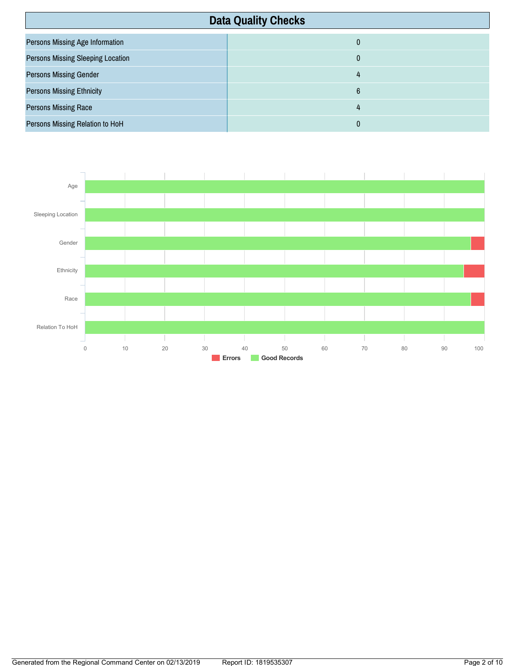| <b>Data Quality Checks</b>               |   |
|------------------------------------------|---|
| <b>Persons Missing Age Information</b>   | 0 |
| <b>Persons Missing Sleeping Location</b> | 0 |
| <b>Persons Missing Gender</b>            | 4 |
| <b>Persons Missing Ethnicity</b>         | 6 |
| <b>Persons Missing Race</b>              | 4 |
| Persons Missing Relation to HoH          | 0 |

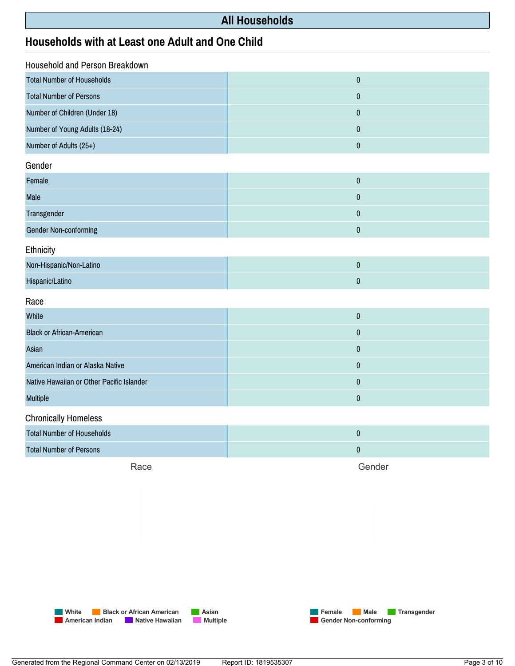#### **All Households**

#### **Households withatLeastone Adult and One Child**

| Household and Person Breakdown |  |  |
|--------------------------------|--|--|
| $\pmb{0}$                      |  |  |
| $\pmb{0}$                      |  |  |
| $\pmb{0}$                      |  |  |
| $\pmb{0}$                      |  |  |
| $\pmb{0}$                      |  |  |
|                                |  |  |
| $\pmb{0}$                      |  |  |
| $\pmb{0}$                      |  |  |
| $\pmb{0}$                      |  |  |
| $\pmb{0}$                      |  |  |
| Ethnicity                      |  |  |
| $\pmb{0}$                      |  |  |
| $\pmb{0}$                      |  |  |
| Race                           |  |  |
| $\pmb{0}$                      |  |  |
| $\pmb{0}$                      |  |  |
| $\pmb{0}$                      |  |  |
| $\pmb{0}$                      |  |  |
| $\pmb{0}$                      |  |  |
| $\pmb{0}$                      |  |  |
| <b>Chronically Homeless</b>    |  |  |
| $\pmb{0}$                      |  |  |
| $\pmb{0}$                      |  |  |
|                                |  |  |

Race

Gender



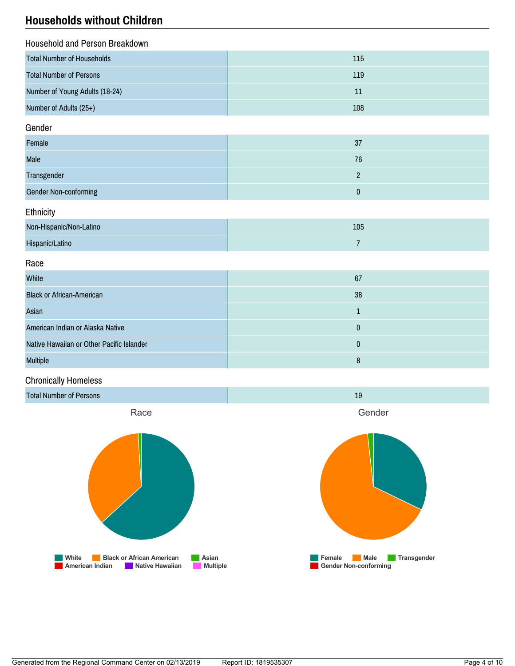### **Households without Children**

| Household and Person Breakdown            |                |  |
|-------------------------------------------|----------------|--|
| <b>Total Number of Households</b>         | 115            |  |
| <b>Total Number of Persons</b>            | 119            |  |
| Number of Young Adults (18-24)            | $11\,$         |  |
| Number of Adults (25+)                    | 108            |  |
| Gender                                    |                |  |
| Female                                    | 37             |  |
| Male                                      | 76             |  |
| Transgender                               | $\overline{2}$ |  |
| Gender Non-conforming                     | $\pmb{0}$      |  |
| Ethnicity                                 |                |  |
| Non-Hispanic/Non-Latino                   | 105            |  |
| Hispanic/Latino                           | $\overline{7}$ |  |
| Race                                      |                |  |
| White                                     | 67             |  |
| <b>Black or African-American</b>          | 38             |  |
| Asian                                     | $\mathbf{1}$   |  |
| American Indian or Alaska Native          | $\pmb{0}$      |  |
| Native Hawaiian or Other Pacific Islander | $\pmb{0}$      |  |
| <b>Multiple</b>                           | $\bf 8$        |  |

#### Chronically Homeless





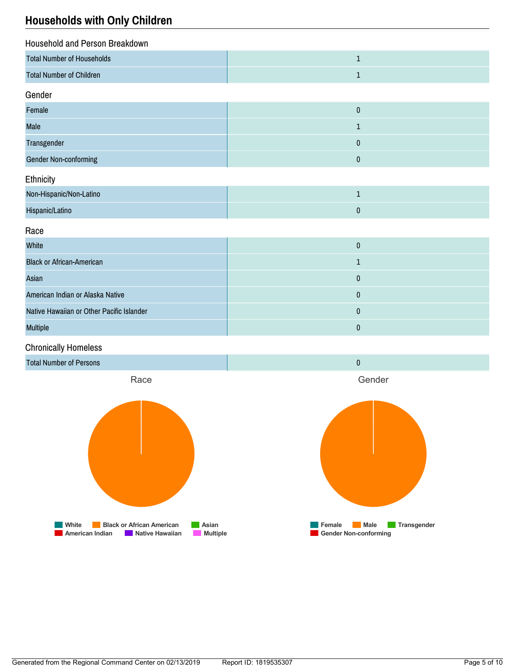### **Households with Only Children**

| Household and Person Breakdown            |              |  |
|-------------------------------------------|--------------|--|
| <b>Total Number of Households</b>         | $\mathbf 1$  |  |
| <b>Total Number of Children</b>           | $1\,$        |  |
| Gender                                    |              |  |
| Female                                    | $\pmb{0}$    |  |
| Male                                      | $\mathbf{1}$ |  |
| Transgender                               | $\bf{0}$     |  |
| <b>Gender Non-conforming</b>              | $\pmb{0}$    |  |
| Ethnicity                                 |              |  |
| Non-Hispanic/Non-Latino                   | $\mathbf 1$  |  |
| Hispanic/Latino                           | $\pmb{0}$    |  |
| Race                                      |              |  |
| White                                     | $\pmb{0}$    |  |
| <b>Black or African-American</b>          | $\mathbf 1$  |  |
| Asian                                     | $\pmb{0}$    |  |
| American Indian or Alaska Native          | $\pmb{0}$    |  |
| Native Hawaiian or Other Pacific Islander | $\pmb{0}$    |  |
| <b>Multiple</b>                           | $\pmb{0}$    |  |
| .                                         |              |  |

Chronically Homeless

Total Number of Persons 000 and 200 and 200 and 200 and 200 and 200 and 200 and 200 and 200 and 200 and 200 and 200 and 200 and 200 and 200 and 200 and 200 and 200 and 200 and 200 and 200 and 200 and 200 and 200 and 200 an Race **Misker Black or African American**<br>**B** American Indian **C** Native Hawaiian **C** Multiple **American Indian Mative Hawaiian** Gender **Female Male Transgender Gender Non-conforming**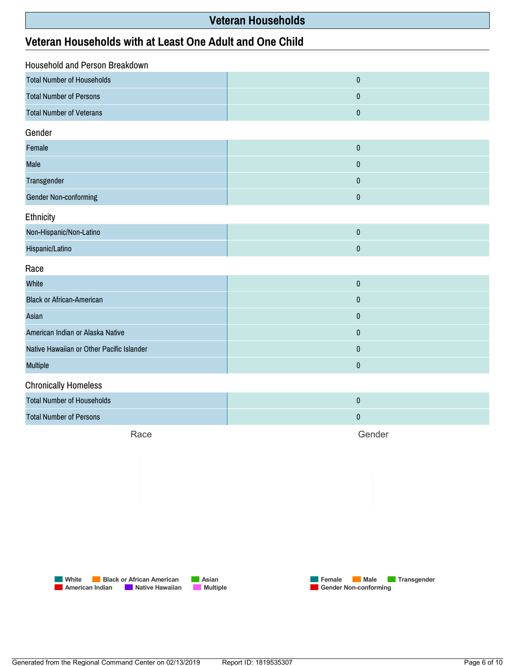#### **Veteran Households**

#### **Veteran Households withatLeast One Adult and One Child**

| Household and Person Breakdown            |           |  |
|-------------------------------------------|-----------|--|
| <b>Total Number of Households</b>         | $\pmb{0}$ |  |
| <b>Total Number of Persons</b>            | $\pmb{0}$ |  |
| <b>Total Number of Veterans</b>           | $\pmb{0}$ |  |
| Gender                                    |           |  |
| Female                                    | $\pmb{0}$ |  |
| Male                                      | $\pmb{0}$ |  |
| Transgender                               | $\pmb{0}$ |  |
| Gender Non-conforming                     | $\pmb{0}$ |  |
| Ethnicity                                 |           |  |
| Non-Hispanic/Non-Latino                   | $\pmb{0}$ |  |
| Hispanic/Latino                           | $\pmb{0}$ |  |
| Race                                      |           |  |
| White                                     | $\pmb{0}$ |  |
| <b>Black or African-American</b>          | $\pmb{0}$ |  |
| Asian                                     | $\pmb{0}$ |  |
| American Indian or Alaska Native          | $\pmb{0}$ |  |
| Native Hawaiian or Other Pacific Islander | $\pmb{0}$ |  |
| Multiple                                  | $\pmb{0}$ |  |
| <b>Chronically Homeless</b>               |           |  |
| <b>Total Number of Households</b>         | $\pmb{0}$ |  |
| <b>Total Number of Persons</b>            | $\pmb{0}$ |  |

Race

Gender



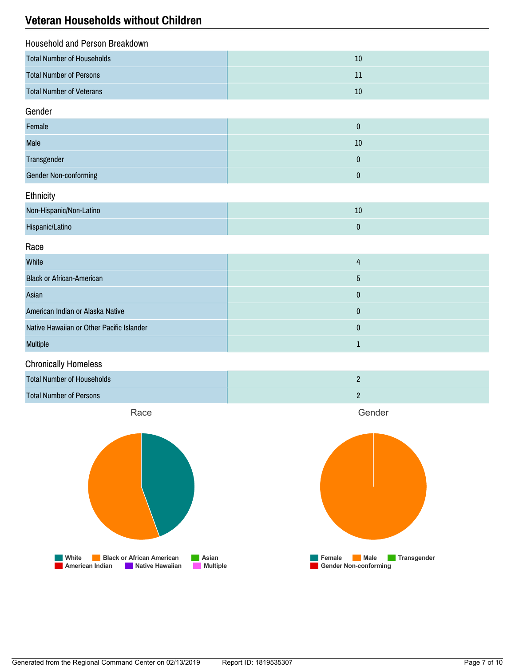### **Veteran Households without Children**

| Household and Person Breakdown            |                 |
|-------------------------------------------|-----------------|
| <b>Total Number of Households</b>         | 10              |
| <b>Total Number of Persons</b>            | 11              |
| <b>Total Number of Veterans</b>           | $10$            |
| Gender                                    |                 |
| Female                                    | $\pmb{0}$       |
| Male                                      | $10\,$          |
| Transgender                               | $\pmb{0}$       |
| <b>Gender Non-conforming</b>              | $\pmb{0}$       |
| Ethnicity                                 |                 |
| Non-Hispanic/Non-Latino                   | $10\,$          |
| Hispanic/Latino                           | $\pmb{0}$       |
| Race                                      |                 |
| White                                     | 4               |
| <b>Black or African-American</b>          | $5\phantom{.0}$ |
| Asian                                     | $\pmb{0}$       |
| American Indian or Alaska Native          | $\pmb{0}$       |
| Native Hawaiian or Other Pacific Islander | $\bf{0}$        |
| Multiple                                  | $1\,$           |
| <b>Chronically Homeless</b>               |                 |
| <b>Total Number of Households</b>         | $\overline{2}$  |
| <b>Total Number of Persons</b>            | $\overline{2}$  |
| Race                                      | Gender          |



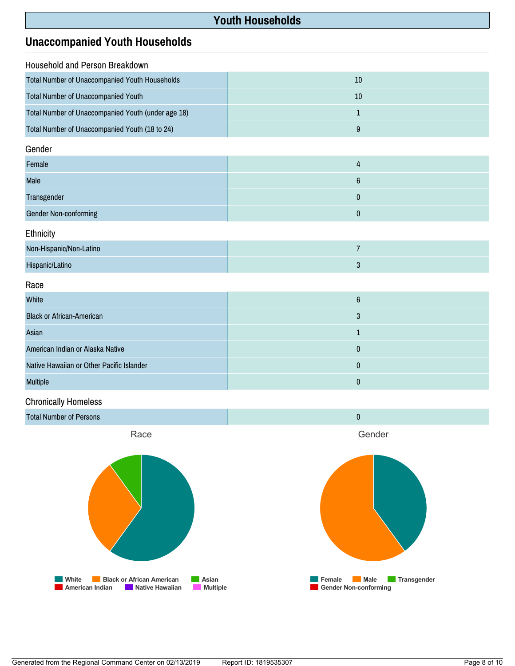#### **Youth Households**

### **Unaccompanied Youth Households**

| Household and Person Breakdown                     |                  |  |
|----------------------------------------------------|------------------|--|
| Total Number of Unaccompanied Youth Households     | 10               |  |
| Total Number of Unaccompanied Youth                | 10               |  |
| Total Number of Unaccompanied Youth (under age 18) | $\mathbf{1}$     |  |
| Total Number of Unaccompanied Youth (18 to 24)     | $\boldsymbol{9}$ |  |
| Gender                                             |                  |  |
| Female                                             | 4                |  |
| Male                                               | $\boldsymbol{6}$ |  |
| Transgender                                        | $\mathbf 0$      |  |
| Gender Non-conforming                              | $\pmb{0}$        |  |
| Ethnicity                                          |                  |  |
| Non-Hispanic/Non-Latino                            | $\overline{7}$   |  |
| Hispanic/Latino                                    | $\sqrt{3}$       |  |
| Race                                               |                  |  |
| White                                              | $\boldsymbol{6}$ |  |
| <b>Black or African-American</b>                   | $\mathbf{3}$     |  |
| Asian                                              | $\mathbf{1}$     |  |
| American Indian or Alaska Native                   | $\bf{0}$         |  |
| Native Hawaiian or Other Pacific Islander          | $\pmb{0}$        |  |
| <b>Multiple</b>                                    | $\mathbf{0}$     |  |

#### Chronically Homeless







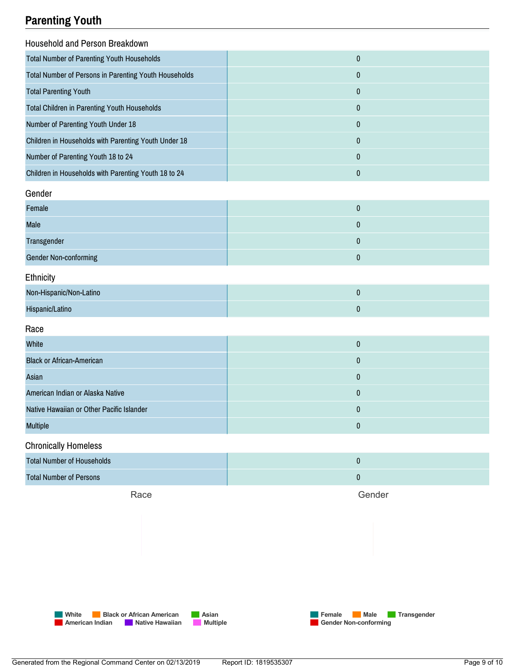## **Parenting Youth**

| Household and Person Breakdown                        |                  |  |
|-------------------------------------------------------|------------------|--|
| <b>Total Number of Parenting Youth Households</b>     | $\mathbf{0}$     |  |
| Total Number of Persons in Parenting Youth Households | $\mathbf{0}$     |  |
| <b>Total Parenting Youth</b>                          | $\mathbf{0}$     |  |
| <b>Total Children in Parenting Youth Households</b>   | $\mathbf{0}$     |  |
| Number of Parenting Youth Under 18                    | $\bf{0}$         |  |
| Children in Households with Parenting Youth Under 18  | $\mathbf{0}$     |  |
| Number of Parenting Youth 18 to 24                    | $\mathbf{0}$     |  |
| Children in Households with Parenting Youth 18 to 24  | $\boldsymbol{0}$ |  |
| Gender                                                |                  |  |
| Female                                                | $\mathbf{0}$     |  |
|                                                       |                  |  |

| <b>Male</b>           |  |
|-----------------------|--|
| Transgender           |  |
| Gender Non-conforming |  |

#### **Ethnicity**

| Non-Hispanic/Non-Latino |  |
|-------------------------|--|
| Hispanic/Latino         |  |

#### Race

| White                                     | U |
|-------------------------------------------|---|
| <b>Black or African-American</b>          |   |
| Asian                                     |   |
| American Indian or Alaska Native          |   |
| Native Hawaiian or Other Pacific Islander |   |
| <b>Multiple</b>                           |   |

# Chronically Homeless **Total Number of Households** 0 Total Number of Persons 0

Race

Gender

**Female Male Transgender** 

**Gender Non-conforming** 

**White Black or African American Asian American Indian Native Hawaiian Multiple**